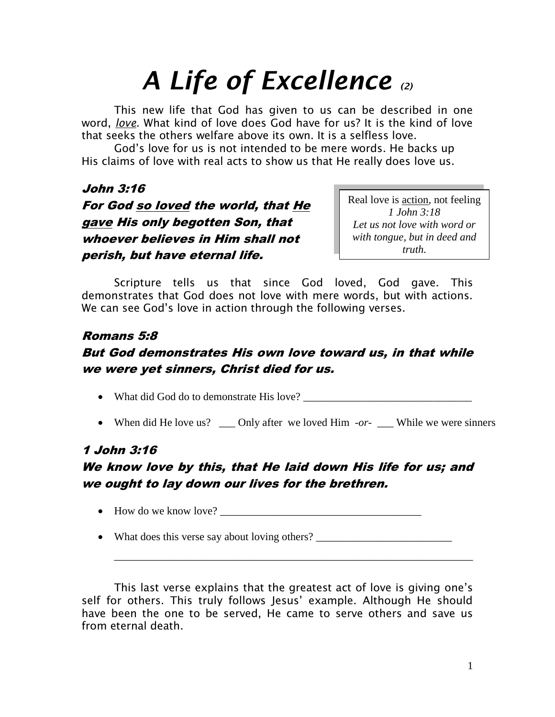# *A Life of Excellence (2)*

This new life that God has given to us can be described in one word, *love*. What kind of love does God have for us? It is the kind of love that seeks the others welfare above its own. It is a selfless love.

God's love for us is not intended to be mere words. He backs up His claims of love with real acts to show us that He really does love us.

#### John 3:16

# For God so loved the world, that He gave His only begotten Son, that whoever believes in Him shall not perish, but have eternal life.

Real love is action, not feeling *1 John 3:18 Let us not love with word or with tongue, but in deed and truth.*

Scripture tells us that since God loved, God gave. This demonstrates that God does not love with mere words, but with actions. We can see God's love in action through the following verses.

# Romans 5:8

## But God demonstrates His own love toward us, in that while we were yet sinners, Christ died for us.

• What did God do to demonstrate His love?

• When did He love us? \_\_\_ Only after we loved Him *-or-* \_\_\_ While we were sinners

# 1 John 3:16

## We know love by this, that He laid down His life for us; and we ought to lay down our lives for the brethren.

How do we know love? \_\_\_\_\_\_\_\_\_\_\_\_\_\_\_\_\_\_\_\_\_\_\_\_\_\_\_\_\_\_\_\_\_\_\_\_\_

• What does this verse say about loving others?

\_\_\_\_\_\_\_\_\_\_\_\_\_\_\_\_\_\_\_\_\_\_\_\_\_\_\_\_\_\_\_\_\_\_\_\_\_\_\_\_\_\_\_\_\_\_\_\_\_\_\_\_\_\_\_\_\_\_\_\_\_\_\_\_\_\_

This last verse explains that the greatest act of love is giving one's self for others. This truly follows Jesus' example. Although He should have been the one to be served, He came to serve others and save us from eternal death.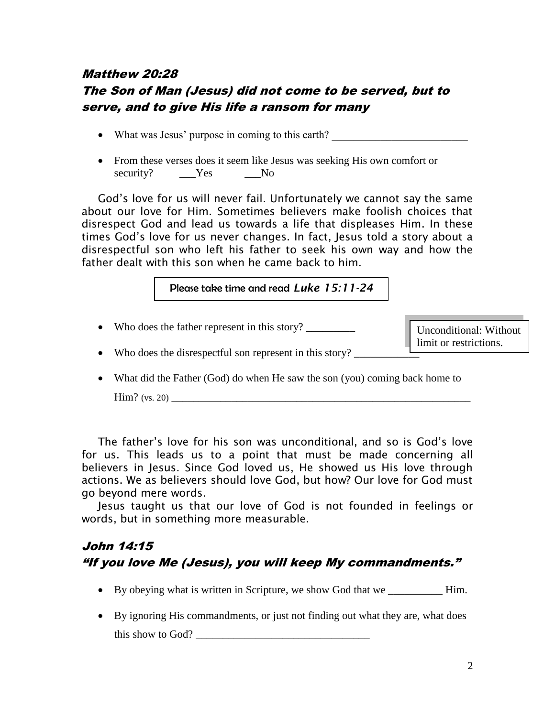## Matthew 20:28 The Son of Man (Jesus) did not come to be served, but to serve, and to give His life a ransom for many

- What was Jesus' purpose in coming to this earth?
- From these verses does it seem like Jesus was seeking His own comfort or security? \_\_\_Yes \_\_\_No

God's love for us will never fail. Unfortunately we cannot say the same about our love for Him. Sometimes believers make foolish choices that disrespect God and lead us towards a life that displeases Him. In these times God's love for us never changes. In fact, Jesus told a story about a disrespectful son who left his father to seek his own way and how the father dealt with this son when he came back to him.

#### Please take time and read *Luke 15:11-24*

• Who does the father represent in this story?

Unconditional: Without limit or restrictions.

- Who does the disrespectful son represent in this story?
- What did the Father (God) do when He saw the son (you) coming back home to

 $\text{Him? (vs. 20)}$ 

The father's love for his son was unconditional, and so is God's love for us. This leads us to a point that must be made concerning all believers in Jesus. Since God loved us, He showed us His love through actions. We as believers should love God, but how? Our love for God must go beyond mere words.

Jesus taught us that our love of God is not founded in feelings or words, but in something more measurable.

# John 14:15 "If you love Me (Jesus), you will keep My commandments."

- By obeying what is written in Scripture, we show God that we \_\_\_\_\_\_\_\_\_\_ Him.
- By ignoring His commandments, or just not finding out what they are, what does this show to God?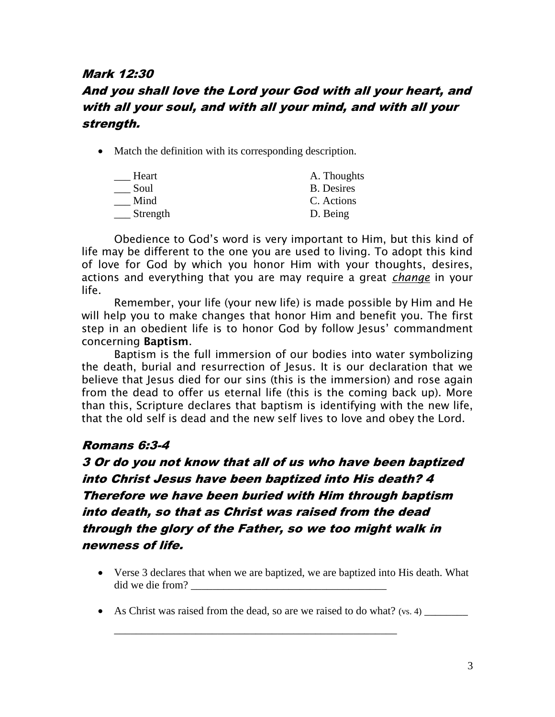#### Mark 12:30

## And you shall love the Lord your God with all your heart, and with all your soul, and with all your mind, and with all your strength.

• Match the definition with its corresponding description.

| A. Thoughts       |
|-------------------|
| <b>B.</b> Desires |
| C. Actions        |
| D. Being          |
|                   |

Obedience to God's word is very important to Him, but this kind of life may be different to the one you are used to living. To adopt this kind of love for God by which you honor Him with your thoughts, desires, actions and everything that you are may require a great *change* in your life.

Remember, your life (your new life) is made possible by Him and He will help you to make changes that honor Him and benefit you. The first step in an obedient life is to honor God by follow Jesus' commandment concerning **Baptism**.

Baptism is the full immersion of our bodies into water symbolizing the death, burial and resurrection of Jesus. It is our declaration that we believe that Jesus died for our sins (this is the immersion) and rose again from the dead to offer us eternal life (this is the coming back up). More than this, Scripture declares that baptism is identifying with the new life, that the old self is dead and the new self lives to love and obey the Lord.

#### Romans 6:3-4

3 Or do you not know that all of us who have been baptized into Christ Jesus have been baptized into His death? 4 Therefore we have been buried with Him through baptism into death, so that as Christ was raised from the dead through the glory of the Father, so we too might walk in newness of life.

- Verse 3 declares that when we are baptized, we are baptized into His death. What did we die from?  $\qquad \qquad$
- As Christ was raised from the dead, so are we raised to do what? (vs. 4)

\_\_\_\_\_\_\_\_\_\_\_\_\_\_\_\_\_\_\_\_\_\_\_\_\_\_\_\_\_\_\_\_\_\_\_\_\_\_\_\_\_\_\_\_\_\_\_\_\_\_\_\_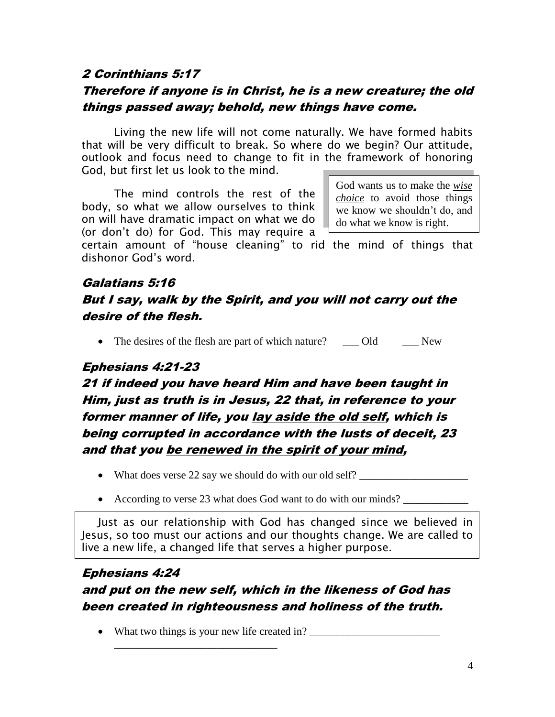#### 2 Corinthians 5:17

## Therefore if anyone is in Christ, he is a new creature; the old things passed away; behold, new things have come.

Living the new life will not come naturally. We have formed habits that will be very difficult to break. So where do we begin? Our attitude, outlook and focus need to change to fit in the framework of honoring God, but first let us look to the mind.

The mind controls the rest of the body, so what we allow ourselves to think on will have dramatic impact on what we do (or don't do) for God. This may require a

God wants us to make the *wise choice* to avoid those things we know we shouldn't do, and do what we know is right.

certain amount of "house cleaning" to rid the mind of things that dishonor God's word.

## Galatians 5:16 But I say, walk by the Spirit, and you will not carry out the desire of the flesh.

• The desires of the flesh are part of which nature? \_\_\_ Old \_\_\_ New

#### Ephesians 4:21-23

21 if indeed you have heard Him and have been taught in Him, just as truth is in Jesus, 22 that, in reference to your former manner of life, you lay aside the old self, which is being corrupted in accordance with the lusts of deceit, 23 and that you be renewed in the spirit of your mind,

- What does verse 22 say we should do with our old self?
- According to verse 23 what does God want to do with our minds?

Just as our relationship with God has changed since we believed in Jesus, so too must our actions and our thoughts change. We are called to live a new life, a changed life that serves a higher purpose.

#### Ephesians 4:24

# and put on the new self, which in the likeness of God has been created in righteousness and holiness of the truth.

• What two things is your new life created in?

\_\_\_\_\_\_\_\_\_\_\_\_\_\_\_\_\_\_\_\_\_\_\_\_\_\_\_\_\_\_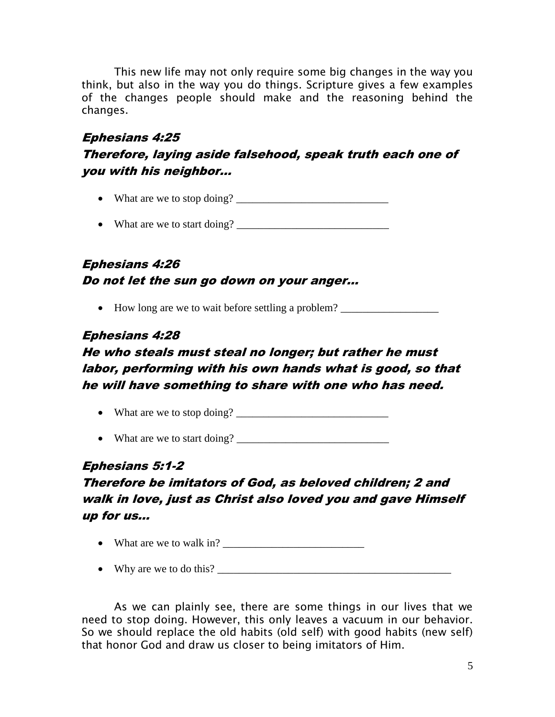This new life may not only require some big changes in the way you think, but also in the way you do things. Scripture gives a few examples of the changes people should make and the reasoning behind the changes.

## Ephesians 4:25

#### Therefore, laying aside falsehood, speak truth each one of you with his neighbor…

- What are we to stop doing?  $\frac{1}{2}$   $\frac{1}{2}$   $\frac{1}{2}$   $\frac{1}{2}$   $\frac{1}{2}$   $\frac{1}{2}$   $\frac{1}{2}$   $\frac{1}{2}$   $\frac{1}{2}$   $\frac{1}{2}$   $\frac{1}{2}$   $\frac{1}{2}$   $\frac{1}{2}$   $\frac{1}{2}$   $\frac{1}{2}$   $\frac{1}{2}$   $\frac{1}{2}$   $\frac{1}{2}$   $\frac{1}{2}$   $\$
- What are we to start doing? \_\_\_\_\_\_\_\_\_\_\_\_\_\_\_\_\_\_\_\_\_\_\_\_\_\_\_\_

# Ephesians 4:26 Do not let the sun go down on your anger…

• How long are we to wait before settling a problem? \_\_\_\_\_\_\_\_\_\_\_\_\_\_\_\_\_\_\_\_\_\_\_\_\_\_\_

#### Ephesians 4:28

# He who steals must steal no longer; but rather he must labor, performing with his own hands what is good, so that he will have something to share with one who has need.

- What are we to stop doing? \_\_\_\_\_\_\_\_\_\_\_\_\_\_\_\_\_\_\_\_\_\_\_\_\_\_\_\_
- What are we to start doing?

## Ephesians 5:1-2

# Therefore be imitators of God, as beloved children; 2 and walk in love, just as Christ also loved you and gave Himself up for us…

- What are we to walk in?  $\frac{1}{\sqrt{2\pi}}$
- Why are we to do this?

As we can plainly see, there are some things in our lives that we need to stop doing. However, this only leaves a vacuum in our behavior. So we should replace the old habits (old self) with good habits (new self) that honor God and draw us closer to being imitators of Him.